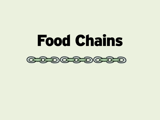

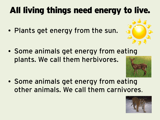# All living things need energy to live.

• Plants get energy from the sun.



• Some animals get energy from eating plants. We call them herbivores.



• Some animals get energy from eating other animals. We call them carnivores.

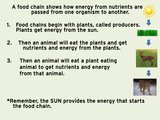- A food chain shows how energy from nutrients are passed from one organism to another.
- 1. Food chains begin with plants, called producers. Plants get energy from the sun.
- 2. Then an animal will eat the plants and get nutrients and energy from the plants.
- 3. Then an animal will eat a plant eating animal to get nutrients and energy from that animal.

#### \*Remember, the SUN provides the energy that starts the food chain.





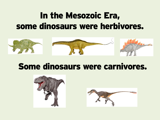# In the Mesozoic Era, some dinosaurs were herbivores.



## Some dinosaurs were carnivores.



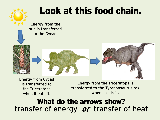

Energy from Cycad is transferred to the Triceratops when it eats it.

Energy from the Triceratops is transferred to the Tyrannosaurus rex when it eats it.

## What do the arrows show? transfer of energy or transfer of heat